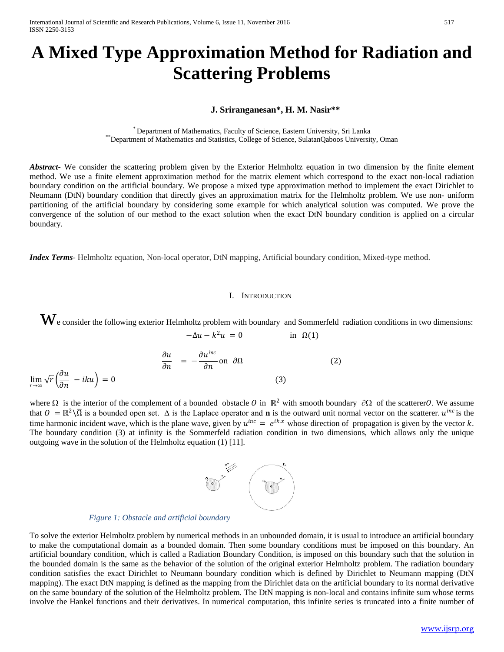# **A Mixed Type Approximation Method for Radiation and Scattering Problems**

# **J. Sriranganesan\*, H. M. Nasir\*\***

\* Department of Mathematics, Faculty of Science, Eastern University, Sri Lanka \*\*Department of Mathematics and Statistics, College of Science, SulatanQaboos University, Oman

*Abstract***-** We consider the scattering problem given by the Exterior Helmholtz equation in two dimension by the finite element method. We use a finite element approximation method for the matrix element which correspond to the exact non-local radiation boundary condition on the artificial boundary. We propose a mixed type approximation method to implement the exact Dirichlet to Neumann (DtN) boundary condition that directly gives an approximation matrix for the Helmholtz problem. We use non- uniform partitioning of the artificial boundary by considering some example for which analytical solution was computed. We prove the convergence of the solution of our method to the exact solution when the exact DtN boundary condition is applied on a circular boundary.

*Index Terms*- Helmholtz equation, Non-local operator, DtN mapping, Artificial boundary condition, Mixed-type method.

### I. INTRODUCTION

We consider the following exterior Helmholtz problem with boundary and Sommerfeld radiation conditions in two dimensions:<br> $-\Delta u - k^2 u = 0$  in  $\Omega(1)$  $-\Delta u - k^2 u = 0$ 

$$
\frac{\partial u}{\partial n} = -\frac{\partial u^{inc}}{\partial n} \text{ on } \partial \Omega \tag{2}
$$
\n
$$
\lim_{r \to \infty} \sqrt{r} \left( \frac{\partial u}{\partial n} - iku \right) = 0 \tag{3}
$$

where  $\Omega$  is the interior of the complement of a bounded obstacle  $\theta$  in  $\mathbb{R}^2$  with smooth boundary  $\partial\Omega$  of the scatterer. We assume that  $0 = \mathbb{R}^2 \setminus \overline{\Omega}$  is a bounded open set.  $\Delta$  is the Laplace operator and **n** is the outward unit normal vector on the scatterer.  $u^{inc}$  is the time harmonic incident wave, which is the plane wave, given by  $u^{inc} = e^{ikx}$  whose direction of propagation is given by the vector k. The boundary condition (3) at infinity is the Sommerfeld radiation condition in two dimensions, which allows only the unique outgoing wave in the solution of the Helmholtz equation (1) [11].



To solve the exterior Helmholtz problem by numerical methods in an unbounded domain, it is usual to introduce an artificial boundary to make the computational domain as a bounded domain. Then some boundary conditions must be imposed on this boundary. An artificial boundary condition, which is called a Radiation Boundary Condition, is imposed on this boundary such that the solution in the bounded domain is the same as the behavior of the solution of the original exterior Helmholtz problem. The radiation boundary condition satisfies the exact Dirichlet to Neumann boundary condition which is defined by Dirichlet to Neumann mapping (DtN mapping). The exact DtN mapping is defined as the mapping from the Dirichlet data on the artificial boundary to its normal derivative on the same boundary of the solution of the Helmholtz problem. The DtN mapping is non-local and contains infinite sum whose terms involve the Hankel functions and their derivatives. In numerical computation, this infinite series is truncated into a finite number of

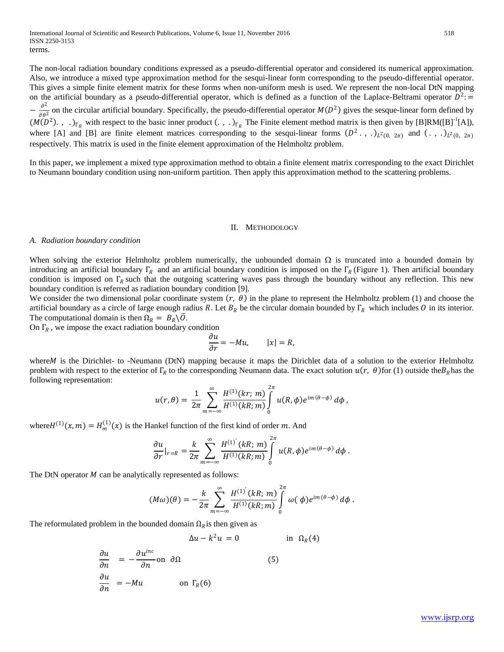The non-local radiation boundary conditions expressed as a pseudo-differential operator and considered its numerical approximation. Also, we introduce a mixed type approximation method for the sesqui-linear form corresponding to the pseudo-differential operator. This gives a simple finite element matrix for these forms when non-uniform mesh is used. We represent the non-local DtN mapping on the artificial boundary as a pseudo-differential operator, which is defined as a function of the Laplace-Beltrami operator  $D^2$ :  $-\frac{\partial^2}{\partial \theta^2}$  on the circular artificial boundary. Specifically, the pseudo-differential operator  $M(D^2)$  gives the sesque-linear form defined by  $(M(D^2), \ldots)_{\Gamma_R}$  with respect to the basic inner product  $(\ldots)_{\Gamma_R}$  The Finite element method matrix is then given by [B]RM([B]<sup>-1</sup>[A]), where [A] and [B] are finite element matrices corresponding to the sesqui-linear forms  $(D^2, \cdot, \cdot)_{L^2(0, 2\pi)}$  and  $(\cdot, \cdot)_{L^2(0, 2\pi)}$ respectively. This matrix is used in the finite element approximation of the Helmholtz problem.

In this paper, we implement a mixed type approximation method to obtain a finite element matrix corresponding to the exact Dirichlet to Neumann boundary condition using non-uniform partition. Then apply this approximation method to the scattering problems.

#### II. METHODOLOGY

#### *A. Radiation boundary condition*

When solving the exterior Helmholtz problem numerically, the unbounded domain  $\Omega$  is truncated into a bounded domain by introducing an artificial boundary Γ<sub>R</sub> and an artificial boundary condition is imposed on the Γ<sub>R</sub> (Figure 1). Then artificial boundary condition is imposed on  $\Gamma_R$  such that the outgoing scattering waves pass through the boundary without any reflection. This new boundary condition is referred as radiation boundary condition [9].

We consider the two dimensional polar coordinate system  $(r, \theta)$  in the plane to represent the Helmholtz problem (1) and choose the artificial boundary as a circle of large enough radius R. Let  $B_R$  be the circular domain bounded by  $\Gamma_R$  which includes O in its interior. The computational domain is then  $\Omega_R = B_R \backslash O$ .

On  $\Gamma_R$ , we impose the exact radiation boundary condition

$$
\frac{\partial u}{\partial r} = -Mu, \qquad |x| = R,
$$

where *M* is the Dirichlet- to -Neumann (DtN) mapping because it maps the Dirichlet data of a solution to the exterior Helmholtz problem with respect to the exterior of  $\Gamma_R$  to the corresponding Neumann data. The exact solution  $u(r, \theta)$  for (1) outside the $B_R$  has the following representation:

$$
u(r,\theta) = \frac{1}{2\pi} \sum_{m=-\infty}^{\infty} \frac{H^{(1)}(kr; m)}{H^{(1)}(kR; m)} \int_{0}^{2\pi} u(R,\phi) e^{im(\theta-\phi)} d\phi,
$$

where  $H^{(1)}(x, m) = H_m^{(1)}(x)$  is the Hankel function of the first kind of order m. And

$$
\frac{\partial u}{\partial r}\big|_{r=R} = \frac{k}{2\pi}\sum_{m=-\infty}^{\infty}\frac{H^{(1)'}(kR;\,m)}{H^{(1)}(kR;\,m)}\int_{0}^{2\pi}u(R,\phi)e^{im(\theta-\phi)}\,d\phi\,.
$$

The DtN operator  $M$  can be analytically represented as follows:

$$
(M\omega)(\theta)=-\frac{k}{2\pi}\sum_{m=-\infty}^{\infty}\frac{H^{(1)'}(kR;\,m)}{H^{(1)}(kR;\,m)}\int_{0}^{2\pi}\omega(\,\phi)e^{im(\theta-\phi)}\,d\phi.
$$

The reformulated problem in the bounded domain  $\Omega_R$  is then given as

$$
\Delta u - k^2 u = 0 \qquad \text{in } \Omega_R(4)
$$

$$
\frac{\partial u}{\partial n} = -\frac{\partial u^{inc}}{\partial n} \text{ on } \partial \Omega \tag{5}
$$
\n
$$
\frac{\partial u}{\partial n} = -Mu \qquad \text{ on } \Gamma_R(6)
$$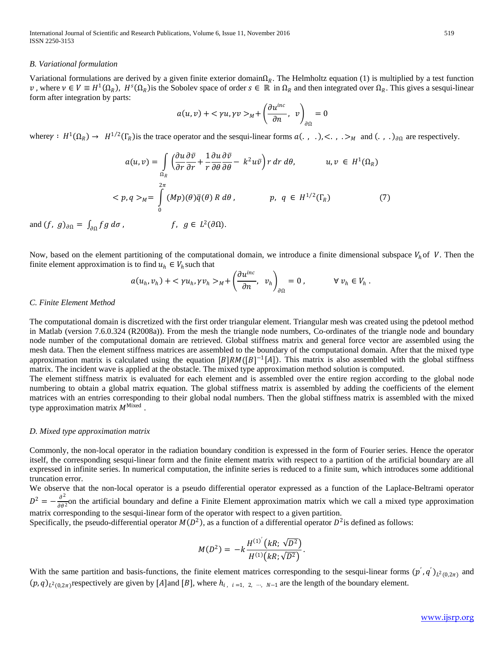International Journal of Scientific and Research Publications, Volume 6, Issue 11, November 2016 519 ISSN 2250-3153

#### *B. Variational formulation*

Variational formulations are derived by a given finite exterior domain $\Omega_R$ . The Helmholtz equation (1) is multiplied by a test function v, where  $v \in V \equiv H^1(\Omega_R)$ ,  $H^s(\Omega_R)$  is the Sobolev space of order  $s \in \mathbb{R}$  in  $\Omega_R$  and then integrated over  $\Omega_R$ . This gives a sesqui-linear form after integration by parts:

$$
a(u,v) + \langle \gamma u, \gamma v \rangle_M + \left(\frac{\partial u^{inc}}{\partial n}, v\right)_{\partial \Omega} = 0
$$

where  $\gamma : H^1(\Omega_R) \to H^{1/2}(\Gamma_R)$  is the trace operator and the sesqui-linear forms  $a(\cdot, \cdot), <, \cdot>_{M}$  and  $(\cdot, \cdot)_{\partial\Omega}$  are respectively.

$$
a(u, v) = \int_{\Omega_R} \left( \frac{\partial u}{\partial r} \frac{\partial \bar{v}}{\partial r} + \frac{1}{r} \frac{\partial u}{\partial \theta} \frac{\partial \bar{v}}{\partial \theta} - k^2 u \bar{v} \right) r \, dr \, d\theta, \qquad u, v \in H^1(\Omega_R)
$$
  

$$
< p, q>_{M} = \int_{0}^{2\pi} (Mp)(\theta) \bar{q}(\theta) R \, d\theta, \qquad p, q \in H^{1/2}(\Gamma_R) \qquad (7)
$$

and  $(f, g)_{\partial\Omega} = \int_{\partial\Omega} fg \, d\sigma$ ,  $f, g \in L^2(\partial\Omega)$ .

Now, based on the element partitioning of the computational domain, we introduce a finite dimensional subspace  $V_h$  of V. Then the finite element approximation is to find  $u_h \in V_h$  such that

$$
a(u_h, v_h) + \langle \gamma u_h, \gamma v_h \rangle_M + \left(\frac{\partial u^{inc}}{\partial n}, v_h\right)_{\partial \Omega} = 0, \qquad \forall v_h \in V_h.
$$

#### *C. Finite Element Method*

The computational domain is discretized with the first order triangular element. Triangular mesh was created using the pdetool method in Matlab (version 7.6.0.324 (R2008a)). From the mesh the triangle node numbers, Co-ordinates of the triangle node and boundary node number of the computational domain are retrieved. Global stiffness matrix and general force vector are assembled using the mesh data. Then the element stiffness matrices are assembled to the boundary of the computational domain. After that the mixed type approximation matrix is calculated using the equation  $[B]RM([B]^{-1}[A])$ . This matrix is also assembled with the global stiffness matrix. The incident wave is applied at the obstacle. The mixed type approximation method solution is computed.

The element stiffness matrix is evaluated for each element and is assembled over the entire region according to the global node numbering to obtain a global matrix equation. The global stiffness matrix is assembled by adding the coefficients of the element matrices with an entries corresponding to their global nodal numbers. Then the global stiffness matrix is assembled with the mixed type approximation matrix  $M<sup>Mixed</sup>$ 

#### *D. Mixed type approximation matrix*

Commonly, the non-local operator in the radiation boundary condition is expressed in the form of Fourier series. Hence the operator itself, the corresponding sesqui-linear form and the finite element matrix with respect to a partition of the artificial boundary are all expressed in infinite series. In numerical computation, the infinite series is reduced to a finite sum, which introduces some additional truncation error.

We observe that the non-local operator is a pseudo differential operator expressed as a function of the Laplace-Beltrami operator  $D^2 = -\frac{\partial^2}{\partial \theta^2}$  on the artificial boundary and define a Finite Element approximation matrix which we call a mixed type approximation matrix corresponding to the sesqui-linear form of the operator with respect to a given partition.

Specifically, the pseudo-differential operator  $M(D^2)$ , as a function of a differential operator  $D^2$  is defined as follows:

$$
M(D^{2}) = -k \frac{H^{(1)'}(kR; \sqrt{D^{2}})}{H^{(1)}(kR; \sqrt{D^{2}})}.
$$

With the same partition and basis-functions, the finite element matrices corresponding to the sesqui-linear forms  $(p', q')_{L^2(0, 2\pi)}$  and  $(p, q)_{L^2(0,2\pi)}$ respectively are given by [A]and [B], where  $h_{i}$ ,  $_{i=1, 2, \cdots, N-1}$  are the length of the boundary element.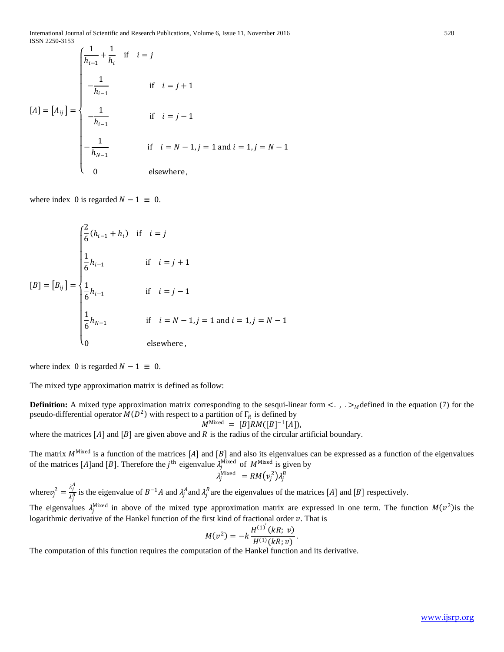International Journal of Scientific and Research Publications, Volume 6, Issue 11, November 2016 520 ISSN 2250-3153

$$
[A] = [A_{ij}] = \begin{cases} \frac{1}{h_{i-1}} + \frac{1}{h_i} & \text{if } i = j \\ \frac{1}{h_{i-1}} & \text{if } i = j + 1 \\ \frac{1}{h_{i-1}} & \text{if } i = j - 1 \\ -\frac{1}{h_{N-1}} & \text{if } i = N - 1, j = 1 \text{ and } i = 1, j = N - 1 \\ 0 & \text{elsewhere} \end{cases}
$$

where index 0 is regarded  $N - 1 \equiv 0$ .

$$
[B] = [B_{ij}] = \begin{cases} \frac{2}{6}(h_{i-1} + h_i) & \text{if } i = j \\ \frac{1}{6}h_{i-1} & \text{if } i = j + 1 \\ \frac{1}{6}h_{i-1} & \text{if } i = j - 1 \\ \frac{1}{6}h_{N-1} & \text{if } i = N - 1, j = 1 \text{ and } i = 1, j = N - 1 \\ 0 & \text{elsewhere} \end{cases}
$$

where index 0 is regarded  $N - 1 \equiv 0$ .

The mixed type approximation matrix is defined as follow:

**Definition:** A mixed type approximation matrix corresponding to the sesqui-linear form  $\lt$ . , . ><sub>M</sub> defined in the equation (7) for the pseudo-differential operator  $M(D^2)$  with respect to a partition of  $\Gamma_R$  is defined by

$$
M^{\text{Mixed}} = [B]RM([B]^{-1}[A]),
$$

where the matrices  $[A]$  and  $[B]$  are given above and  $R$  is the radius of the circular artificial boundary.

The matrix  $M<sup>Mixed</sup>$  is a function of the matrices [A] and [B] and also its eigenvalues can be expressed as a function of the eigenvalues of the matrices [A]and [B]. Therefore the  $j^{\text{th}}$  eigenvalue  $\lambda_j^{\text{Mixed}}$  of  $M^{\text{Mixed}}$  is given by

$$
\lambda_j^{\text{Mixed}} = RM(v_j^2) \lambda_j^B
$$

where  $v_j^2 = \frac{\lambda_j^A}{\lambda_j^B}$  is the eigenvalue of  $B^{-1}A$  and  $\lambda_j^A$  and  $\lambda_j^B$  are the eigenvalues of the matrices [A] and [B] respectively.

The eigenvalues  $\lambda_j^{\text{Mixed}}$  in above of the mixed type approximation matrix are expressed in one term. The function  $M(v^2)$  is the logarithmic derivative of the Hankel function of the first kind of fractional order  $v$ . That is

$$
M(v^2) = -k \frac{H^{(1)}(kR; v)}{H^{(1)}(kR; v)}.
$$

The computation of this function requires the computation of the Hankel function and its derivative.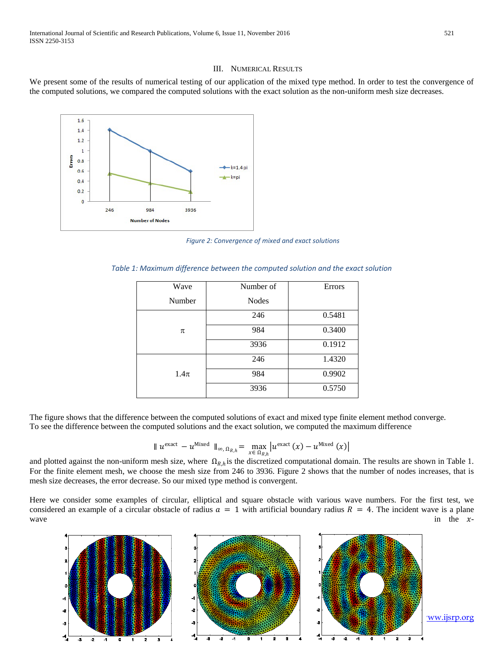International Journal of Scientific and Research Publications, Volume 6, Issue 11, November 2016 521 ISSN 2250-3153

#### III. NUMERICAL RESULTS

We present some of the results of numerical testing of our application of the mixed type method. In order to test the convergence of the computed solutions, we compared the computed solutions with the exact solution as the non-uniform mesh size decreases.



*Figure 2: Convergence of mixed and exact solutions*

| Wave     | Number of    | <b>Errors</b> |
|----------|--------------|---------------|
| Number   | <b>Nodes</b> |               |
| π        | 246          | 0.5481        |
|          | 984          | 0.3400        |
|          | 3936         | 0.1912        |
| $1.4\pi$ | 246          | 1.4320        |
|          | 984          | 0.9902        |
|          | 3936         | 0.5750        |

 *Table 1: Maximum difference between the computed solution and the exact solution*

The figure shows that the difference between the computed solutions of exact and mixed type finite element method converge. To see the difference between the computed solutions and the exact solution, we computed the maximum difference

$$
\| u^{\text{exact}} - u^{\text{Mixed}} \|_{\infty, \Omega_{R,h}} = \max_{x \in \Omega_{R,h}} | u^{\text{exact}}(x) - u^{\text{Mixed}}(x) |
$$

and plotted against the non-uniform mesh size, where  $\Omega_{R,h}$  is the discretized computational domain. The results are shown in Table 1. For the finite element mesh, we choose the mesh size from 246 to 3936. Figure 2 shows that the number of nodes increases, that is mesh size decreases, the error decrease. So our mixed type method is convergent.

Here we consider some examples of circular, elliptical and square obstacle with various wave numbers. For the first test, we considered an example of a circular obstacle of radius  $a = 1$  with artificial boundary radius  $R = 4$ . The incident wave in the xwave in the  $x$ -

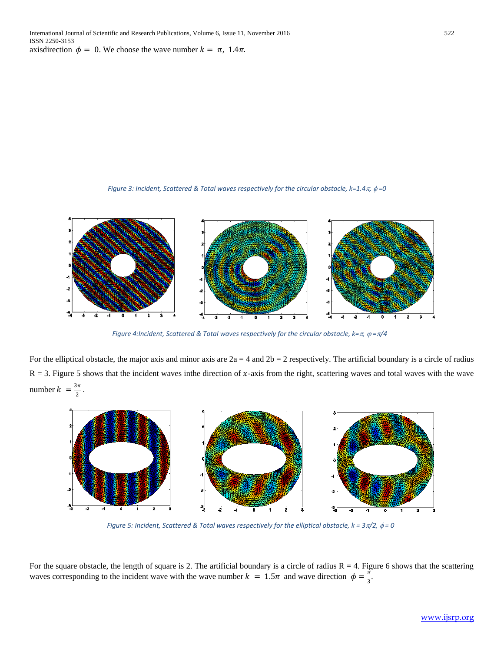*Figure 3: Incident, Scattered & Total waves respectively for the circular obstacle, k=1.4*π*,* φ *=0*



*Figure 4:Incident, Scattered & Total waves respectively for the circular obstacle, k=π,*  $\varphi$  *= π/4* 

For the elliptical obstacle, the major axis and minor axis are  $2a = 4$  and  $2b = 2$  respectively. The artificial boundary is a circle of radius  $R = 3$ . Figure 5 shows that the incident waves inthe direction of x-axis from the right, scattering waves and total waves with the wave number  $k = \frac{3\pi}{2}$ .



*Figure 5: Incident, Scattered & Total waves respectively for the elliptical obstacle, k = 3*π*/2,* φ *= 0*

For the square obstacle, the length of square is 2. The artificial boundary is a circle of radius  $R = 4$ . Figure 6 shows that the scattering waves corresponding to the incident wave with the wave number  $k = 1.5\pi$  and wave direction  $\phi = \frac{\pi}{3}$ .